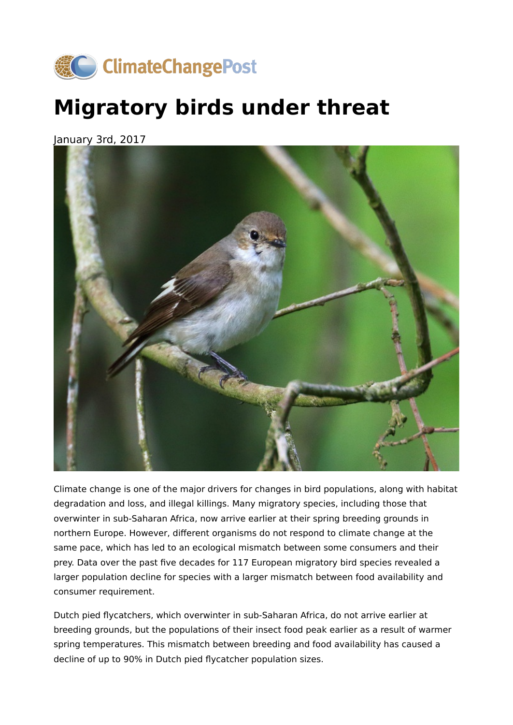

## **Migratory birds under threat**

January 3rd, 2017



Climate change is one of the major drivers for changes in bird populations, along with habitat degradation and loss, and illegal killings. Many migratory species, including those that overwinter in sub-Saharan Africa, now arrive earlier at their spring breeding grounds in northern Europe. However, different organisms do not respond to climate change at the same pace, which has led to an ecological mismatch between some consumers and their prey. Data over the past five decades for 117 European migratory bird species revealed a larger population decline for species with a larger mismatch between food availability and consumer requirement.

Dutch pied flycatchers, which overwinter in sub-Saharan Africa, do not arrive earlier at breeding grounds, but the populations of their insect food peak earlier as a result of warmer spring temperatures. This mismatch between breeding and food availability has caused a decline of up to 90% in Dutch pied flycatcher population sizes.